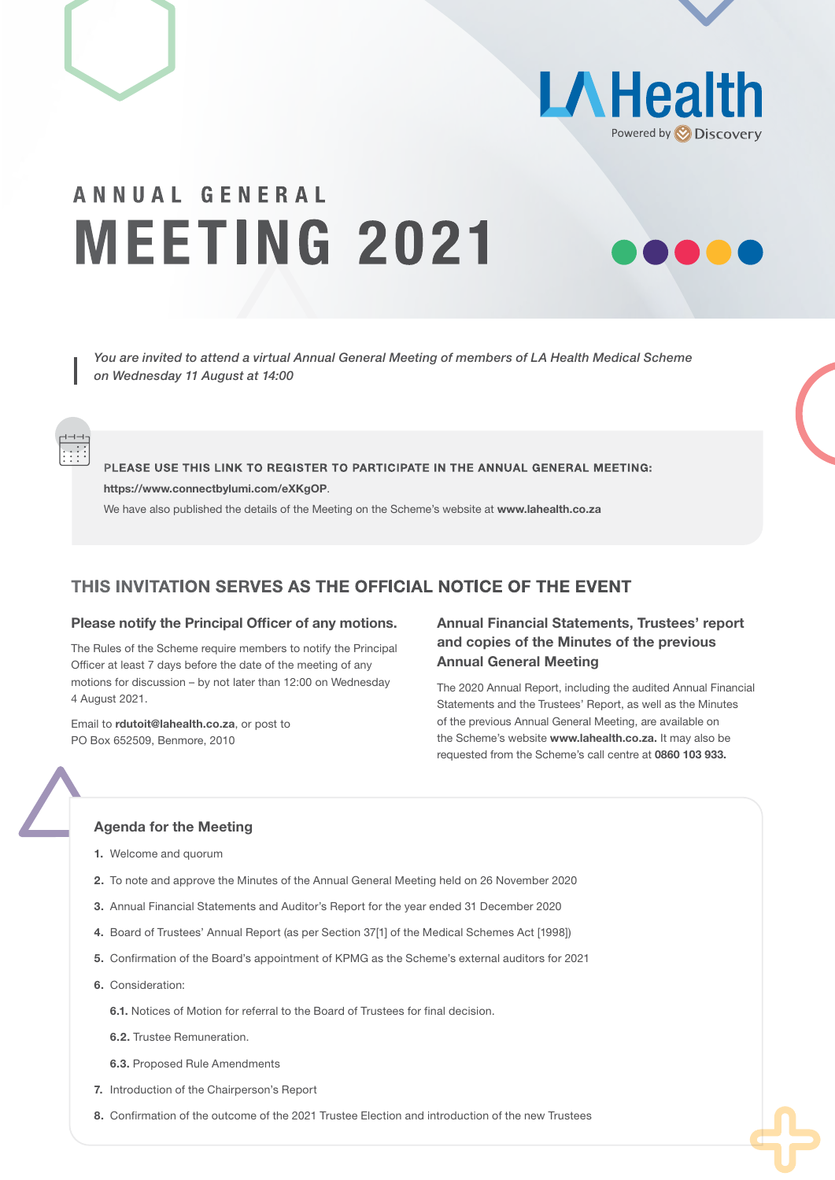



# ANNUAL GENERAL MEETING 2021

*You are invited to attend a virtual Annual General Meeting of members of LA Health Medical Scheme on Wednesday 11 August at 14:00*

PLEASE USE THIS LINK TO REGISTER TO PARTICIPATE IN THE ANNUAL GENERAL MEETING: https://www.connectbylumi.com/eXKgOP.

We have also published the details of the Meeting on the Scheme's website at www.lahealth.co.za

# THIS INVITATION SERVES AS THE OFFICIAL NOTICE OF THE EVENT

# Please notify the Principal Officer of any motions.

The Rules of the Scheme require members to notify the Principal Officer at least 7 days before the date of the meeting of any motions for discussion – by not later than 12:00 on Wednesday 4 August 2021.

Email to rdutoit@lahealth.co.za, or post to PO Box 652509, Benmore, 2010

# Annual Financial Statements, Trustees' report and copies of the Minutes of the previous Annual General Meeting

The 2020 Annual Report, including the audited Annual Financial Statements and the Trustees' Report, as well as the Minutes of the previous Annual General Meeting, are available on the Scheme's website www.lahealth.co.za. It may also be requested from the Scheme's call centre at 0860 103 933.

#### Agenda for the Meeting

- 1. Welcome and quorum
- 2. To note and approve the Minutes of the Annual General Meeting held on 26 November 2020
- 3. Annual Financial Statements and Auditor's Report for the year ended 31 December 2020
- 4. Board of Trustees' Annual Report (as per Section 37[1] of the Medical Schemes Act [1998])
- 5. Confirmation of the Board's appointment of KPMG as the Scheme's external auditors for 2021
- 6. Consideration:
	- 6.1. Notices of Motion for referral to the Board of Trustees for final decision.
	- 6.2. Trustee Remuneration.
	- 6.3. Proposed Rule Amendments
- 7. Introduction of the Chairperson's Report
- 8. Confirmation of the outcome of the 2021 Trustee Election and introduction of the new Trustees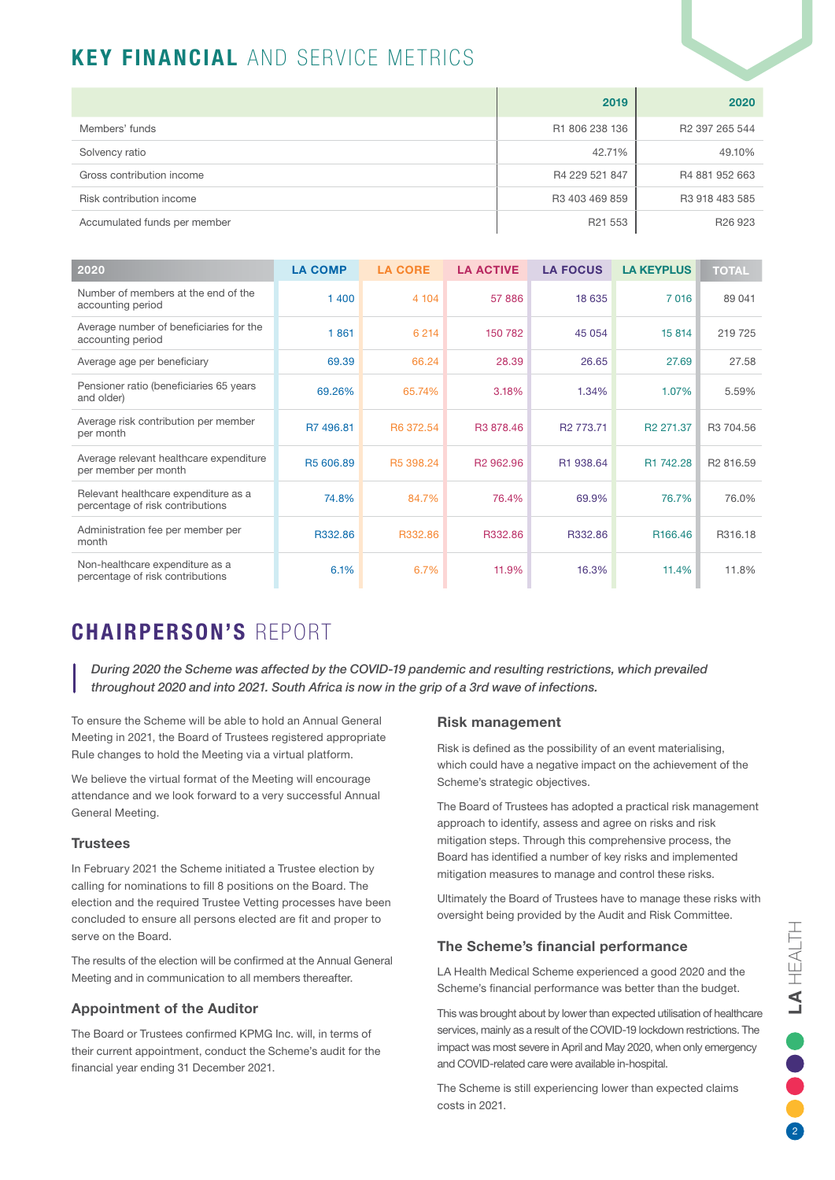# KEY FINANCIAL AND SERVICE METRICS

|                              | 2019           | 2020                       |
|------------------------------|----------------|----------------------------|
| Members' funds               | R1 806 238 136 | R <sub>2</sub> 397 265 544 |
| Solvency ratio               | 42.71%         | 49.10%                     |
| Gross contribution income    | R4 229 521 847 | R4 881 952 663             |
| Risk contribution income     | R3 403 469 859 | R3 918 483 585             |
| Accumulated funds per member | R21 553        | R <sub>26</sub> 923        |

| 2020                                                                     | <b>LA COMP</b>        | <b>LA CORE</b> | <b>LA ACTIVE</b>      | <b>LA FOCUS</b>       | <b>LA KEYPLUS</b>     | <b>TOTAL</b>          |
|--------------------------------------------------------------------------|-----------------------|----------------|-----------------------|-----------------------|-----------------------|-----------------------|
| Number of members at the end of the<br>accounting period                 | 1400                  | 4 104          | 57886                 | 18 635                | 7016                  | 89 041                |
| Average number of beneficiaries for the<br>accounting period             | 1861                  | 6 2 1 4        | 150 782               | 45 054                | 15 814                | 219725                |
| Average age per beneficiary                                              | 69.39                 | 66.24          | 28.39                 | 26.65                 | 27.69                 | 27.58                 |
| Pensioner ratio (beneficiaries 65 years<br>and older)                    | 69.26%                | 65.74%         | 3.18%                 | 1.34%                 | 1.07%                 | 5.59%                 |
| Average risk contribution per member<br>per month                        | R7 496.81             | R6 372.54      | R3 878.46             | R <sub>2</sub> 773.71 | R <sub>2</sub> 271.37 | R3 704.56             |
| Average relevant healthcare expenditure<br>per member per month          | R <sub>5</sub> 606.89 | R5 398.24      | R <sub>2</sub> 962.96 | R1 938.64             | R1 742.28             | R <sub>2</sub> 816.59 |
| Relevant healthcare expenditure as a<br>percentage of risk contributions | 74.8%                 | 84.7%          | 76.4%                 | 69.9%                 | 76.7%                 | 76.0%                 |
| Administration fee per member per<br>month                               | R332.86               | R332.86        | R332.86               | R332.86               | R <sub>166.46</sub>   | R316.18               |
| Non-healthcare expenditure as a<br>percentage of risk contributions      | 6.1%                  | 6.7%           | 11.9%                 | 16.3%                 | 11.4%                 | 11.8%                 |

# CHAIRPERSON'S REPORT

*During 2020 the Scheme was affected by the COVID-19 pandemic and resulting restrictions, which prevailed throughout 2020 and into 2021. South Africa is now in the grip of a 3rd wave of infections.* 

To ensure the Scheme will be able to hold an Annual General Meeting in 2021, the Board of Trustees registered appropriate Rule changes to hold the Meeting via a virtual platform.

We believe the virtual format of the Meeting will encourage attendance and we look forward to a very successful Annual General Meeting.

# **Trustees**

In February 2021 the Scheme initiated a Trustee election by calling for nominations to fill 8 positions on the Board. The election and the required Trustee Vetting processes have been concluded to ensure all persons elected are fit and proper to serve on the Board.

The results of the election will be confirmed at the Annual General Meeting and in communication to all members thereafter.

# Appointment of the Auditor

The Board or Trustees confirmed KPMG Inc. will, in terms of their current appointment, conduct the Scheme's audit for the financial year ending 31 December 2021.

# Risk management

Risk is defined as the possibility of an event materialising, which could have a negative impact on the achievement of the Scheme's strategic objectives.

The Board of Trustees has adopted a practical risk management approach to identify, assess and agree on risks and risk mitigation steps. Through this comprehensive process, the Board has identified a number of key risks and implemented mitigation measures to manage and control these risks.

Ultimately the Board of Trustees have to manage these risks with oversight being provided by the Audit and Risk Committee.

# The Scheme's financial performance

LA Health Medical Scheme experienced a good 2020 and the Scheme's financial performance was better than the budget.

This was brought about by lower than expected utilisation of healthcare services, mainly as a result of the COVID-19 lockdown restrictions. The impact was most severe in April and May 2020, when only emergency and COVID-related care were available in-hospital.

The Scheme is still experiencing lower than expected claims costs in 2021.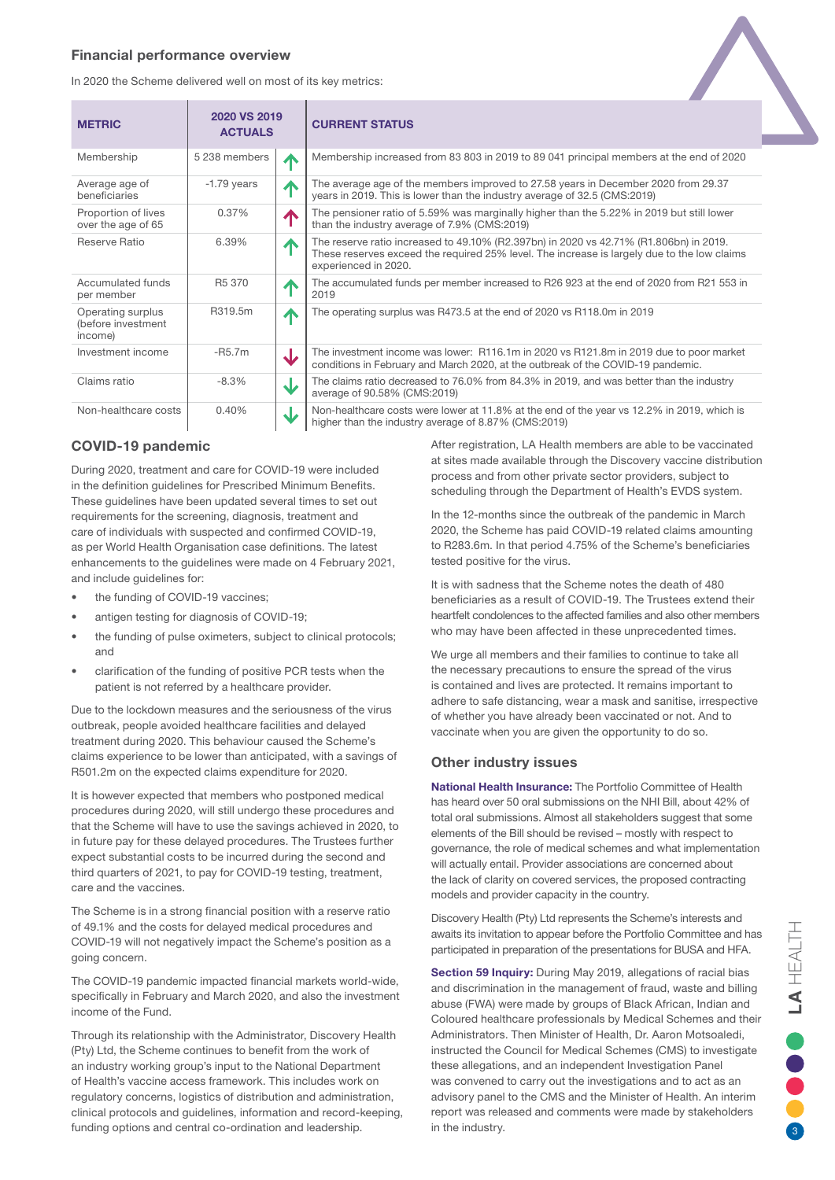### Financial performance overview

In 2020 the Scheme delivered well on most of its key metrics:

| <b>METRIC</b>                                      | 2020 VS 2019<br><b>ACTUALS</b> |                         | <b>CURRENT STATUS</b>                                                                                                                                                                                         |
|----------------------------------------------------|--------------------------------|-------------------------|---------------------------------------------------------------------------------------------------------------------------------------------------------------------------------------------------------------|
| Membership                                         | 5 238 members                  | $\blacktriangle$        | Membership increased from 83 803 in 2019 to 89 041 principal members at the end of 2020                                                                                                                       |
| Average age of<br>beneficiaries                    | $-1.79$ years                  | Л                       | The average age of the members improved to 27.58 years in December 2020 from 29.37<br>years in 2019. This is lower than the industry average of 32.5 (CMS:2019)                                               |
| Proportion of lives<br>over the age of 65          | 0.37%                          | $\blacktriangle$        | The pensioner ratio of 5.59% was marginally higher than the 5.22% in 2019 but still lower<br>than the industry average of 7.9% (CMS:2019)                                                                     |
| Reserve Ratio                                      | 6.39%                          | 个                       | The reserve ratio increased to 49.10% (R2.397bn) in 2020 vs 42.71% (R1.806bn) in 2019.<br>These reserves exceed the required 25% level. The increase is largely due to the low claims<br>experienced in 2020. |
| Accumulated funds<br>per member                    | R <sub>5</sub> 370             | $\blacktriangle$        | The accumulated funds per member increased to R26 923 at the end of 2020 from R21 553 in<br>2019                                                                                                              |
| Operating surplus<br>(before investment<br>income) | R319.5m                        | 个                       | The operating surplus was R473.5 at the end of 2020 vs R118.0m in 2019                                                                                                                                        |
| Investment income                                  | $-R5.7m$                       | $\overline{\mathbf{v}}$ | The investment income was lower: R116.1m in 2020 vs R121.8m in 2019 due to poor market<br>conditions in February and March 2020, at the outbreak of the COVID-19 pandemic.                                    |
| Claims ratio                                       | $-8.3\%$                       | J                       | The claims ratio decreased to 76.0% from 84.3% in 2019, and was better than the industry<br>average of 90.58% (CMS:2019)                                                                                      |
| Non-healthcare costs                               | 0.40%                          | J                       | Non-healthcare costs were lower at 11.8% at the end of the year vs 12.2% in 2019, which is<br>higher than the industry average of 8.87% (CMS:2019)                                                            |

# COVID-19 pandemic

During 2020, treatment and care for COVID-19 were included in the definition guidelines for Prescribed Minimum Benefits. These guidelines have been updated several times to set out requirements for the screening, diagnosis, treatment and care of individuals with suspected and confirmed COVID-19, as per World Health Organisation case definitions. The latest enhancements to the guidelines were made on 4 February 2021, and include guidelines for:

- the funding of COVID-19 vaccines;
- antigen testing for diagnosis of COVID-19;
- the funding of pulse oximeters, subject to clinical protocols; and
- clarification of the funding of positive PCR tests when the patient is not referred by a healthcare provider.

Due to the lockdown measures and the seriousness of the virus outbreak, people avoided healthcare facilities and delayed treatment during 2020. This behaviour caused the Scheme's claims experience to be lower than anticipated, with a savings of R501.2m on the expected claims expenditure for 2020.

It is however expected that members who postponed medical procedures during 2020, will still undergo these procedures and that the Scheme will have to use the savings achieved in 2020, to in future pay for these delayed procedures. The Trustees further expect substantial costs to be incurred during the second and third quarters of 2021, to pay for COVID-19 testing, treatment, care and the vaccines.

The Scheme is in a strong financial position with a reserve ratio of 49.1% and the costs for delayed medical procedures and COVID-19 will not negatively impact the Scheme's position as a going concern.

The COVID-19 pandemic impacted financial markets world-wide, specifically in February and March 2020, and also the investment income of the Fund.

Through its relationship with the Administrator, Discovery Health (Pty) Ltd, the Scheme continues to benefit from the work of an industry working group's input to the National Department of Health's vaccine access framework. This includes work on regulatory concerns, logistics of distribution and administration, clinical protocols and guidelines, information and record-keeping, funding options and central co-ordination and leadership.

After registration, LA Health members are able to be vaccinated at sites made available through the Discovery vaccine distribution process and from other private sector providers, subject to scheduling through the Department of Health's EVDS system.

In the 12-months since the outbreak of the pandemic in March 2020, the Scheme has paid COVID-19 related claims amounting to R283.6m. In that period 4.75% of the Scheme's beneficiaries tested positive for the virus.

It is with sadness that the Scheme notes the death of 480 beneficiaries as a result of COVID-19. The Trustees extend their heartfelt condolences to the affected families and also other members who may have been affected in these unprecedented times.

We urge all members and their families to continue to take all the necessary precautions to ensure the spread of the virus is contained and lives are protected. It remains important to adhere to safe distancing, wear a mask and sanitise, irrespective of whether you have already been vaccinated or not. And to vaccinate when you are given the opportunity to do so.

### Other industry issues

National Health Insurance: The Portfolio Committee of Health has heard over 50 oral submissions on the NHI Bill, about 42% of total oral submissions. Almost all stakeholders suggest that some elements of the Bill should be revised – mostly with respect to governance, the role of medical schemes and what implementation will actually entail. Provider associations are concerned about the lack of clarity on covered services, the proposed contracting models and provider capacity in the country.

Discovery Health (Pty) Ltd represents the Scheme's interests and awaits its invitation to appear before the Portfolio Committee and has participated in preparation of the presentations for BUSA and HFA.

Section 59 Inquiry: During May 2019, allegations of racial bias and discrimination in the management of fraud, waste and billing abuse (FWA) were made by groups of Black African, Indian and Coloured healthcare professionals by Medical Schemes and their Administrators. Then Minister of Health, Dr. Aaron Motsoaledi, instructed the Council for Medical Schemes (CMS) to investigate these allegations, and an independent Investigation Panel was convened to carry out the investigations and to act as an advisory panel to the CMS and the Minister of Health. An interim report was released and comments were made by stakeholders in the industry.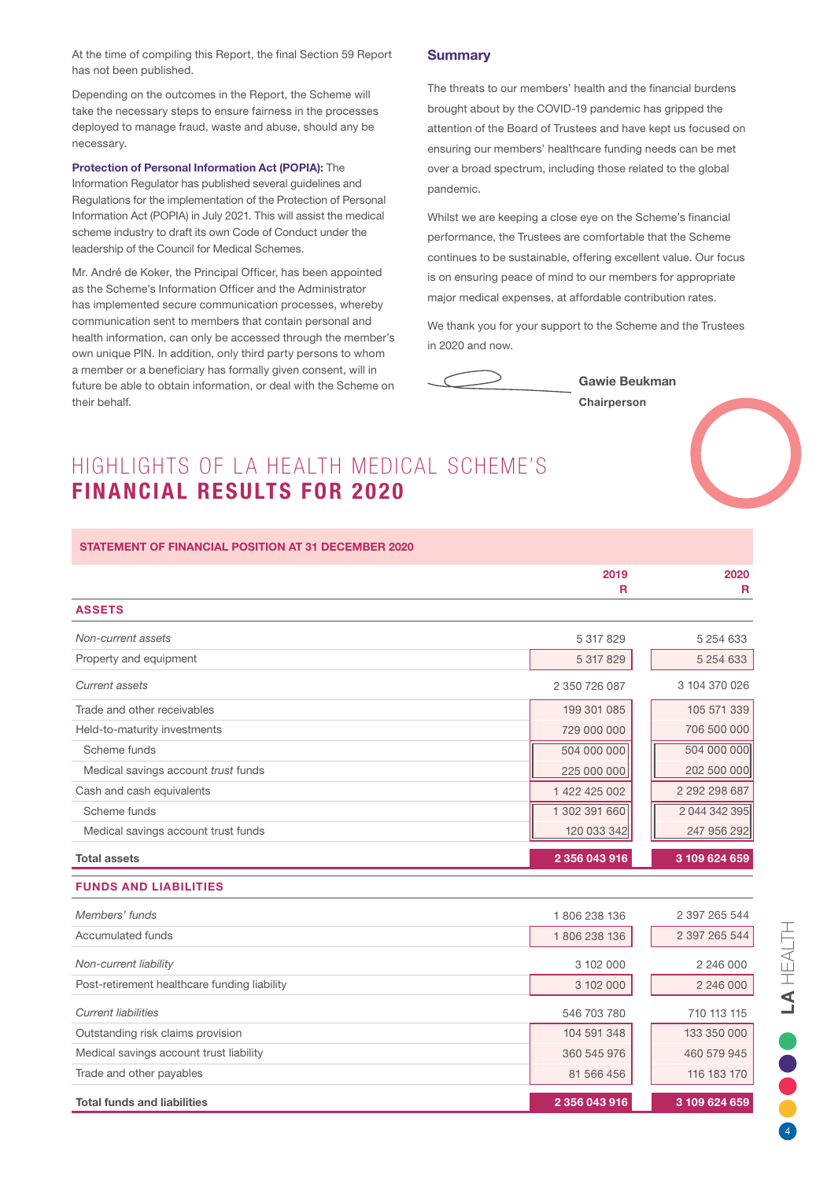At the time of compiling this Report, the final Section 59 Report has not been published.

Depending on the outcomes in the Report, the Scheme will take the necessary steps to ensure fairness in the processes deployed to manage fraud, waste and abuse, should any be necessary.

#### Protection of Personal Information Act (POPIA): The

Information Regulator has published several guidelines and Regulations for the implementation of the Protection of Personal Information Act (POPIA) in July 2021. This will assist the medical scheme industry to draft its own Code of Conduct under the leadership of the Council for Medical Schemes.

Mr. André de Koker, the Principal Officer, has been appointed as the Scheme's Information Officer and the Administrator has implemented secure communication processes, whereby communication sent to members that contain personal and health information, can only be accessed through the member's own unique PIN. In addition, only third party persons to whom a member or a beneficiary has formally given consent, will in future be able to obtain information, or deal with the Scheme on their behalf.

# **Summary**

The threats to our members' health and the financial burdens brought about by the COVID-19 pandemic has gripped the attention of the Board of Trustees and have kept us focused on ensuring our members' healthcare funding needs can be met over a broad spectrum, including those related to the global pandemic.

Whilst we are keeping a close eye on the Scheme's financial performance, the Trustees are comfortable that the Scheme continues to be sustainable, offering excellent value. Our focus is on ensuring peace of mind to our members for appropriate major medical expenses, at affordable contribution rates.

We thank you for your support to the Scheme and the Trustees in 2020 and now.



Gawie Beukman

**Chairperson** 

# HIGHLIGHTS OF LA HEALTH MEDICAL SCHEME'S FINANCIAL RESULTS FOR 2020

#### STATEMENT OF FINANCIAL POSITION AT 31 DECEMBER 2020

|                                     | 2019          | 2020          |
|-------------------------------------|---------------|---------------|
|                                     | R             | R             |
| <b>ASSETS</b>                       |               |               |
| Non-current assets                  | 5 317 829     | 5 254 633     |
| Property and equipment              | 5 317 829     | 5 254 633     |
| Current assets                      | 2 350 726 087 | 3 104 370 026 |
| Trade and other receivables         | 199 301 085   | 105 571 339   |
| Held-to-maturity investments        | 729 000 000   | 706 500 000   |
| Scheme funds                        | 504 000 000   | 504 000 000   |
| Medical savings account trust funds | 225 000 000   | 202 500 000   |
| Cash and cash equivalents           | 1 422 425 002 | 2 292 298 687 |
| Scheme funds                        | 1 302 391 660 | 2 044 342 395 |
| Medical savings account trust funds | 120 033 342   | 247 956 292   |
| <b>Total assets</b>                 | 2 356 043 916 | 3 109 624 659 |

#### FUNDS AND LIABILITIES

| Members' funds                               | 1806238136    | 2 397 265 544 |
|----------------------------------------------|---------------|---------------|
| Accumulated funds                            | 1806 238 136  | 2 397 265 544 |
| Non-current liability                        | 3 102 000     | 2 246 000     |
| Post-retirement healthcare funding liability | 3 102 000     | 2 246 000     |
| <b>Current liabilities</b>                   | 546 703 780   | 710 113 115   |
| Outstanding risk claims provision            | 104 591 348   | 133 350 000   |
| Medical savings account trust liability      | 360 545 976   | 460 579 945   |
| Trade and other payables                     | 81 566 456    | 116 183 170   |
| <b>Total funds and liabilities</b>           | 2 356 043 916 | 3 109 624 659 |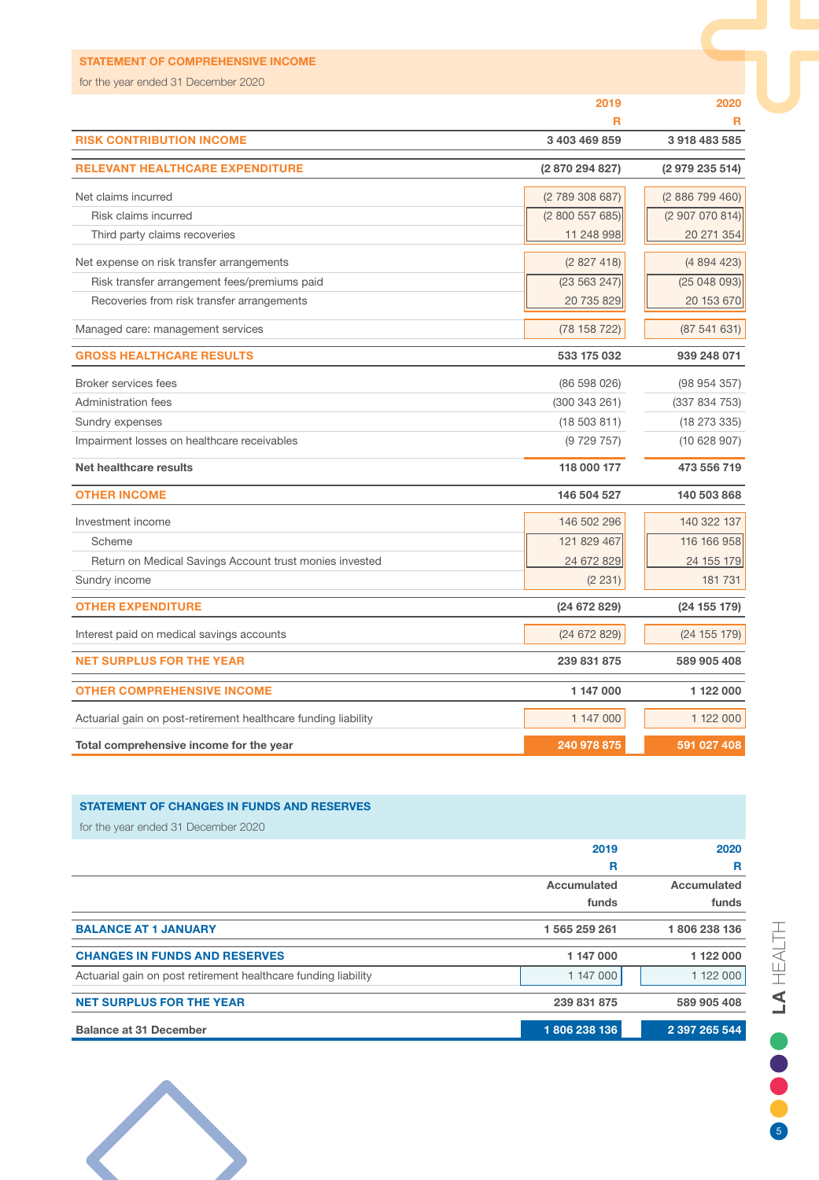| <b>STATEMENT OF COMPREHENSIVE INCOME</b>                       |                 |                 |
|----------------------------------------------------------------|-----------------|-----------------|
| for the year ended 31 December 2020                            |                 |                 |
|                                                                | 2019            | 2020            |
|                                                                | R               | R               |
| <b>RISK CONTRIBUTION INCOME</b>                                | 3 403 469 859   | 3918483585      |
| <b>RELEVANT HEALTHCARE EXPENDITURE</b>                         | (2 870 294 827) | (2 979 235 514) |
| Net claims incurred                                            | (2 789 308 687) | (2886799460)    |
| Risk claims incurred                                           | (2800557685)    | (2 907 070 814) |
| Third party claims recoveries                                  | 11 248 998      | 20 271 354      |
| Net expense on risk transfer arrangements                      | (2827418)       | (4894423)       |
| Risk transfer arrangement fees/premiums paid                   | (23 563 247)    | (25048093)      |
| Recoveries from risk transfer arrangements                     | 20 735 829      | 20 153 670      |
| Managed care: management services                              | (78158722)      | (87541631)      |
| <b>GROSS HEALTHCARE RESULTS</b>                                | 533 175 032     | 939 248 071     |
| <b>Broker services fees</b>                                    | (86 598 026)    | (98954357)      |
| <b>Administration fees</b>                                     | (300 343 261)   | (337 834 753)   |
| Sundry expenses                                                | (18503811)      | (18273335)      |
| Impairment losses on healthcare receivables                    | (9729757)       | (10628907)      |
| Net healthcare results                                         | 118 000 177     | 473 556 719     |
| <b>OTHER INCOME</b>                                            | 146 504 527     | 140 503 868     |
| Investment income                                              | 146 502 296     | 140 322 137     |
| Scheme                                                         | 121 829 467     | 116 166 958     |
| Return on Medical Savings Account trust monies invested        | 24 672 829      | 24 155 179      |
| Sundry income                                                  | (2 231)         | 181 731         |
| <b>OTHER EXPENDITURE</b>                                       | (24672829)      | (24 155 179)    |
| Interest paid on medical savings accounts                      | (24672829)      | (24 155 179)    |
| <b>NET SURPLUS FOR THE YEAR</b>                                | 239 831 875     | 589 905 408     |
| <b>OTHER COMPREHENSIVE INCOME</b>                              | 1 147 000       | 1 122 000       |
| Actuarial gain on post-retirement healthcare funding liability | 1 147 000       | 1 122 000       |
| Total comprehensive income for the year                        | 240 978 875     | 591 027 408     |

# STATEMENT OF CHANGES IN FUNDS AND RESERVES

| <b>Balance at 31 December</b>                                  | 1806 238 136  | 2 397 265 544 |
|----------------------------------------------------------------|---------------|---------------|
| <b>NET SURPLUS FOR THE YEAR</b>                                | 239 831 875   | 589 905 408   |
| Actuarial gain on post retirement healthcare funding liability | 1 147 000     | 1 122 000     |
| <b>CHANGES IN FUNDS AND RESERVES</b>                           | 1 147 000     | 1 122 000     |
| <b>BALANCE AT 1 JANUARY</b>                                    | 1 565 259 261 | 1806238136    |
|                                                                | funds         | funds         |
|                                                                | Accumulated   | Accumulated   |
|                                                                | R             | R             |
|                                                                | 2019          | 2020          |
| for the year ended 31 December 2020                            |               |               |

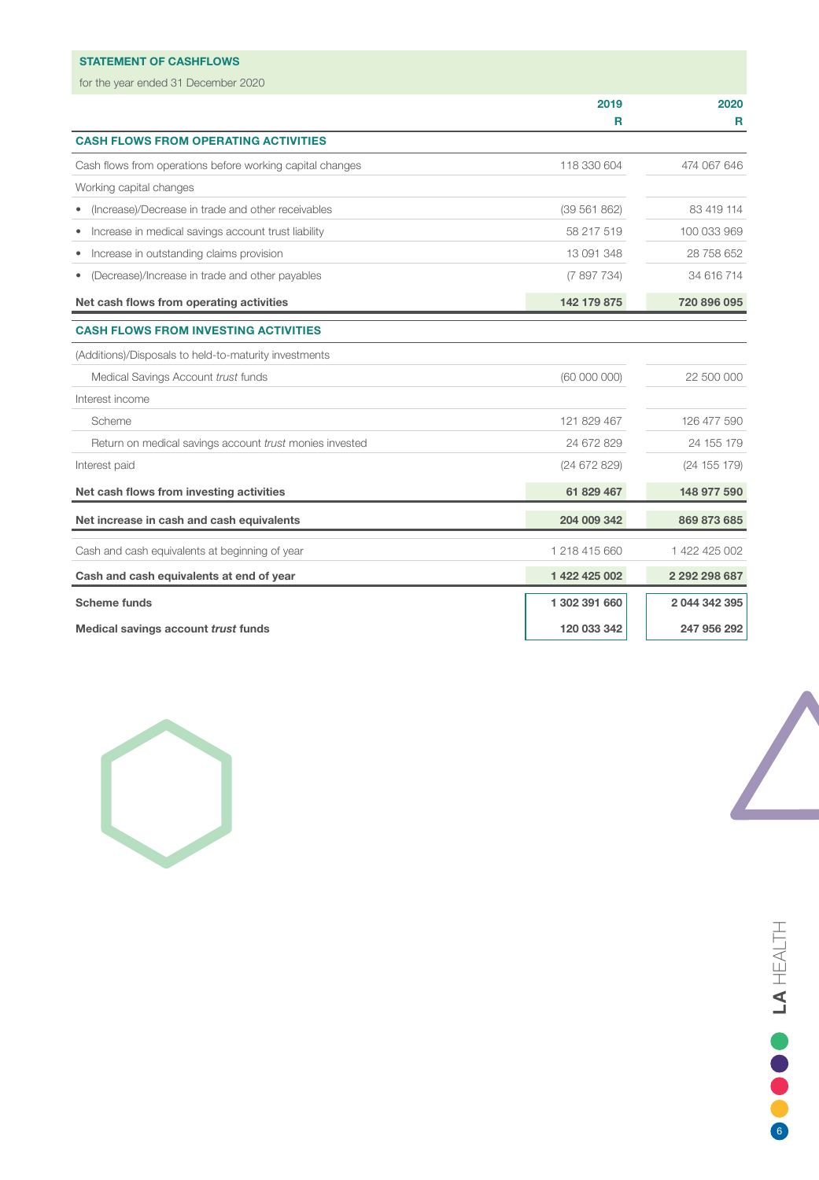# STATEMENT OF CASHFLOWS

for the year ended 31 December 2020

| TOT THE YOUR CHUCU OF DOCUTING ZUZU                       |               |               |
|-----------------------------------------------------------|---------------|---------------|
|                                                           | 2019          | 2020          |
|                                                           | R             | R             |
| <b>CASH FLOWS FROM OPERATING ACTIVITIES</b>               |               |               |
| Cash flows from operations before working capital changes | 118 330 604   | 474 067 646   |
| Working capital changes                                   |               |               |
| (Increase)/Decrease in trade and other receivables        | (39 561 862)  | 83 419 114    |
| Increase in medical savings account trust liability       | 58 217 519    | 100 033 969   |
| Increase in outstanding claims provision<br>٠             | 13 091 348    | 28 758 652    |
| (Decrease)/Increase in trade and other payables           | (7897734)     | 34 616 714    |
| Net cash flows from operating activities                  | 142 179 875   | 720 896 095   |
| <b>CASH FLOWS FROM INVESTING ACTIVITIES</b>               |               |               |
| (Additions)/Disposals to held-to-maturity investments     |               |               |
| Medical Savings Account trust funds                       | (60 000 000)  | 22 500 000    |
| Interest income                                           |               |               |
| Scheme                                                    | 121 829 467   | 126 477 590   |
| Return on medical savings account trust monies invested   | 24 672 829    | 24 155 179    |
| Interest paid                                             | (24672829)    | (24 155 179)  |
| Net cash flows from investing activities                  | 61 829 467    | 148 977 590   |
| Net increase in cash and cash equivalents                 | 204 009 342   | 869 873 685   |
| Cash and cash equivalents at beginning of year            | 1 218 415 660 | 1 422 425 002 |
| Cash and cash equivalents at end of year                  | 1 422 425 002 | 2 292 298 687 |
| <b>Scheme funds</b>                                       | 1 302 391 660 | 2 044 342 395 |
| Medical savings account trust funds                       | 120 033 342   | 247 956 292   |

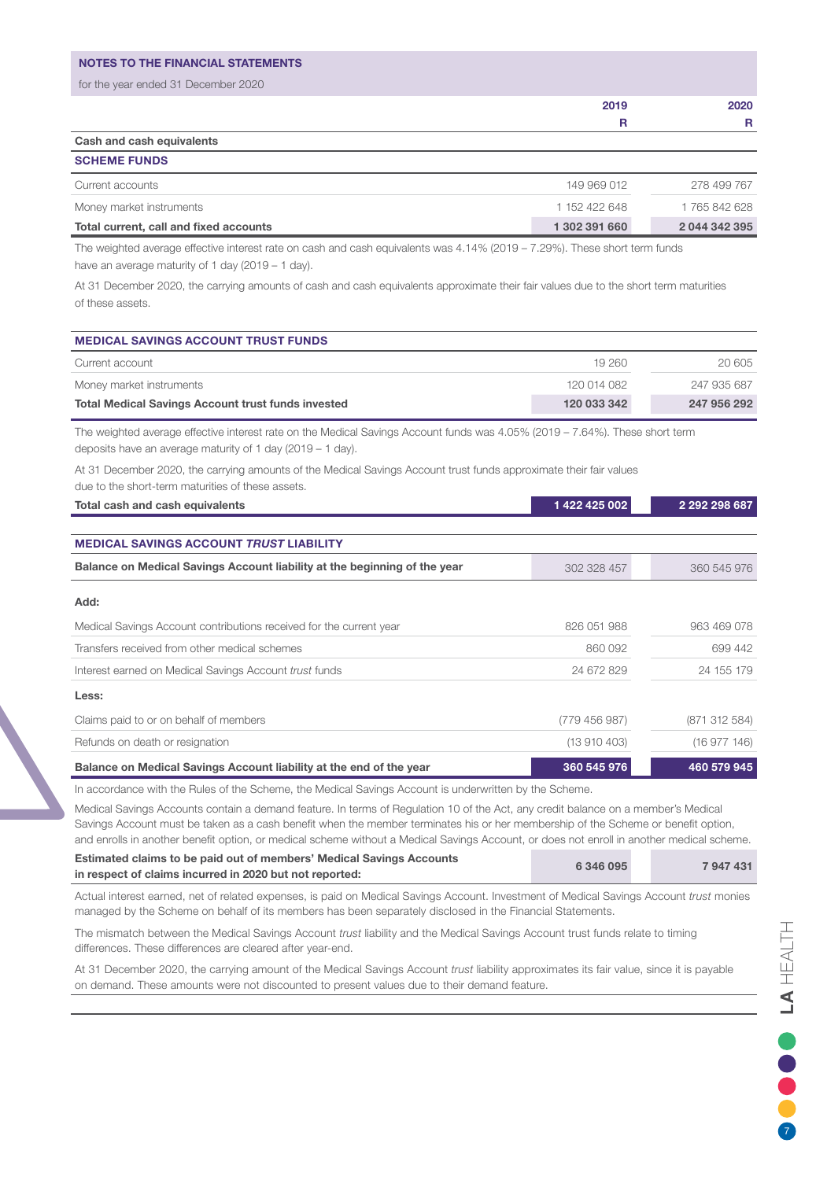| <b>NOTES TO THE FINANCIAL STATEMENTS</b> |      |      |
|------------------------------------------|------|------|
| for the year ended 31 December 2020      |      |      |
|                                          | 2019 | 2020 |
|                                          | R    |      |
|                                          |      |      |

Cash and cash equivalents SCHEME FUNDS

| Current accounts                       | 149 969 012   | 278 499 767   |
|----------------------------------------|---------------|---------------|
| Money market instruments               | 1 152 422 648 | 1 765 842 628 |
| Total current, call and fixed accounts | 1 302 391 660 | 2 044 342 395 |

The weighted average effective interest rate on cash and cash equivalents was 4.14% (2019 – 7.29%). These short term funds have an average maturity of 1 day (2019 – 1 day).

At 31 December 2020, the carrying amounts of cash and cash equivalents approximate their fair values due to the short term maturities of these assets.

| <b>MEDICAL SAVINGS ACCOUNT TRUST FUNDS</b>                |             |             |
|-----------------------------------------------------------|-------------|-------------|
| Current account                                           | 19260       | 20 605      |
| Money market instruments                                  | 120 014 082 | 247 935 687 |
| <b>Total Medical Savings Account trust funds invested</b> | 120 033 342 | 247 956 292 |

The weighted average effective interest rate on the Medical Savings Account funds was 4.05% (2019 – 7.64%). These short term deposits have an average maturity of 1 day (2019 – 1 day).

At 31 December 2020, the carrying amounts of the Medical Savings Account trust funds approximate their fair values due to the short-term maturities of these assets.

| Total cash and cash equivalents                                           | 1422425002    | 2 292 298 687 |
|---------------------------------------------------------------------------|---------------|---------------|
|                                                                           |               |               |
| <b>MEDICAL SAVINGS ACCOUNT TRUST LIABILITY</b>                            |               |               |
| Balance on Medical Savings Account liability at the beginning of the year | 302 328 457   | 360 545 976   |
| Add:                                                                      |               |               |
| Medical Savings Account contributions received for the current year       | 826 051 988   | 963 469 078   |
| Transfers received from other medical schemes                             | 860 092       | 699 442       |
| Interest earned on Medical Savings Account trust funds                    | 24 672 829    | 24 155 179    |
| Less:                                                                     |               |               |
| Claims paid to or on behalf of members                                    | (779 456 987) | (871 312 584) |
| Refunds on death or resignation                                           | (13910403)    | (16977146)    |
| Balance on Medical Savings Account liability at the end of the year       | 360 545 976   | 460 579 945   |

In accordance with the Rules of the Scheme, the Medical Savings Account is underwritten by the Scheme.

Medical Savings Accounts contain a demand feature. In terms of Regulation 10 of the Act, any credit balance on a member's Medical Savings Account must be taken as a cash benefit when the member terminates his or her membership of the Scheme or benefit option, and enrolls in another benefit option, or medical scheme without a Medical Savings Account, or does not enroll in another medical scheme.

| Estimated claims to be paid out of members' Medical Savings Accounts | 6 346 095 | 7947431 |
|----------------------------------------------------------------------|-----------|---------|
| in respect of claims incurred in 2020 but not reported:              |           |         |

Actual interest earned, net of related expenses, is paid on Medical Savings Account. Investment of Medical Savings Account *trust* monies managed by the Scheme on behalf of its members has been separately disclosed in the Financial Statements.

The mismatch between the Medical Savings Account *trust* liability and the Medical Savings Account trust funds relate to timing differences. These differences are cleared after year-end.

At 31 December 2020, the carrying amount of the Medical Savings Account *trust* liability approximates its fair value, since it is payable on demand. These amounts were not discounted to present values due to their demand feature.